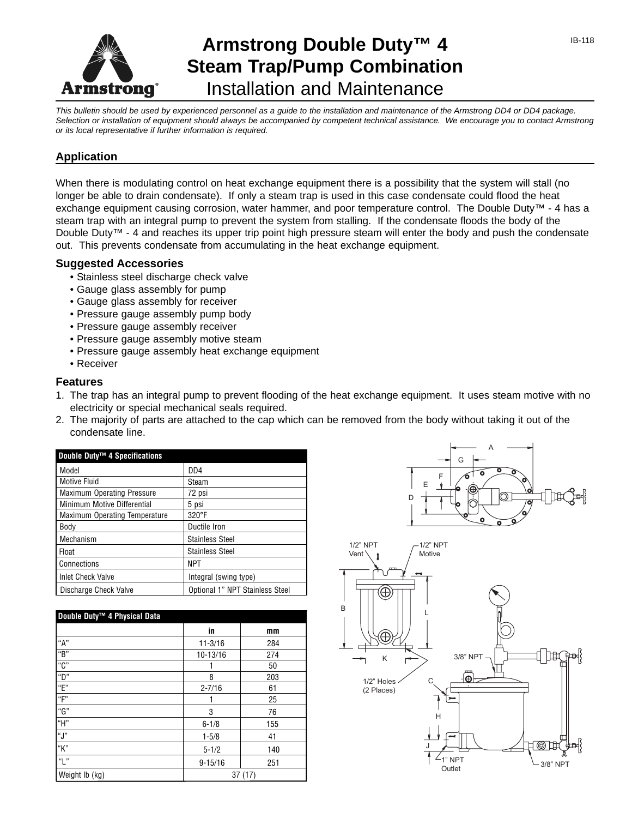

# **Armstrong Double Duty™ 4 Steam Trap/Pump Combination** Installation and Maintenance

*This bulletin should be used by experienced personnel as a guide to the installation and maintenance of the Armstrong DD4 or DD4 package. Selection or installation of equipment should always be accompanied by competent technical assistance. We encourage you to contact Armstrong or its local representative if further information is required.*

# **Application**

When there is modulating control on heat exchange equipment there is a possibility that the system will stall (no longer be able to drain condensate). If only a steam trap is used in this case condensate could flood the heat exchange equipment causing corrosion, water hammer, and poor temperature control. The Double Duty™ - 4 has a steam trap with an integral pump to prevent the system from stalling. If the condensate floods the body of the Double Duty™ - 4 and reaches its upper trip point high pressure steam will enter the body and push the condensate out. This prevents condensate from accumulating in the heat exchange equipment.

### **Suggested Accessories**

- Stainless steel discharge check valve
- Gauge glass assembly for pump
- Gauge glass assembly for receiver
- Pressure gauge assembly pump body
- Pressure gauge assembly receiver
- Pressure gauge assembly motive steam
- Pressure gauge assembly heat exchange equipment
- Receiver

### **Features**

- 1. The trap has an integral pump to prevent flooding of the heat exchange equipment. It uses steam motive with no electricity or special mechanical seals required.
- 2. The majority of parts are attached to the cap which can be removed from the body without taking it out of the condensate line.

| Double Duty™ 4 Specifications        |                                 |
|--------------------------------------|---------------------------------|
| Model                                | DD <sub>4</sub>                 |
| Motive Fluid                         | Steam                           |
| <b>Maximum Operating Pressure</b>    | 72 psi                          |
| Minimum Motive Differential          | 5 psi                           |
| <b>Maximum Operating Temperature</b> | 320°F                           |
| Body                                 | Ductile Iron                    |
| Mechanism                            | <b>Stainless Steel</b>          |
| Float                                | <b>Stainless Steel</b>          |
| Connections                          | <b>NPT</b>                      |
| <b>Inlet Check Valve</b>             | Integral (swing type)           |
| Discharge Check Valve                | Optional 1" NPT Stainless Steel |

| Double Duty™ 4 Physical Data            |             |        |  |  |
|-----------------------------------------|-------------|--------|--|--|
|                                         | in          | mm     |  |  |
| "A"                                     | $11 - 3/16$ | 284    |  |  |
| $\overline{\mathsf{f}^{\mathsf{u}}}$ B" | 10-13/16    | 274    |  |  |
| $^{\circ}$ C"                           |             | 50     |  |  |
| $\overline{D''}$                        | 8           | 203    |  |  |
| $\overline{E}$                          | $2 - 7/16$  | 61     |  |  |
| "F"                                     |             | 25     |  |  |
| "G"                                     | 3           | 76     |  |  |
| "H"                                     | $6 - 1/8$   | 155    |  |  |
| l"J"                                    | $1 - 5/8$   | 41     |  |  |
| "K"                                     | $5 - 1/2$   | 140    |  |  |
| $\mathbb{F}$ $\mathbb{F}$               | $9 - 15/16$ | 251    |  |  |
| Weight lb (kg)                          |             | 37(17) |  |  |



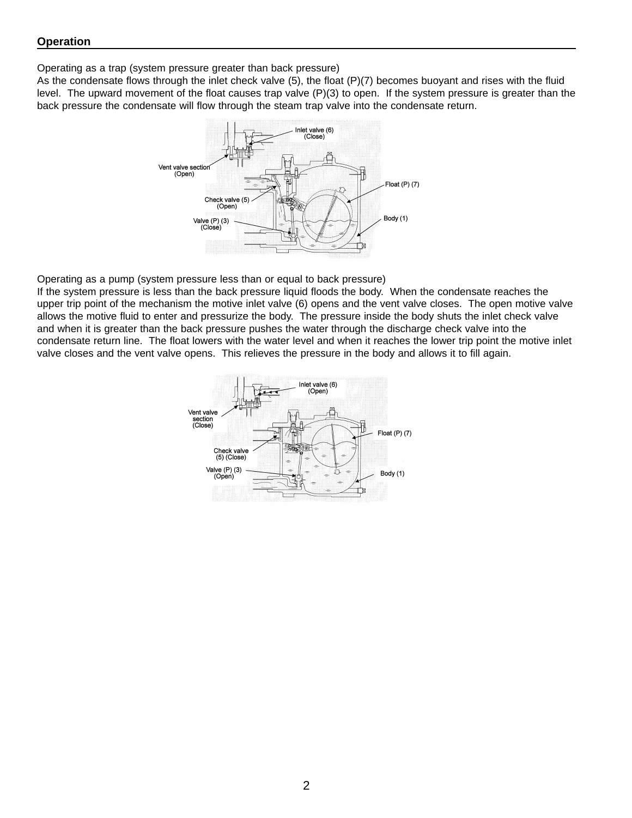Operating as a trap (system pressure greater than back pressure)

As the condensate flows through the inlet check valve (5), the float (P)(7) becomes buoyant and rises with the fluid level. The upward movement of the float causes trap valve (P)(3) to open. If the system pressure is greater than the back pressure the condensate will flow through the steam trap valve into the condensate return.



Operating as a pump (system pressure less than or equal to back pressure)

If the system pressure is less than the back pressure liquid floods the body. When the condensate reaches the upper trip point of the mechanism the motive inlet valve (6) opens and the vent valve closes. The open motive valve allows the motive fluid to enter and pressurize the body. The pressure inside the body shuts the inlet check valve and when it is greater than the back pressure pushes the water through the discharge check valve into the condensate return line. The float lowers with the water level and when it reaches the lower trip point the motive inlet valve closes and the vent valve opens. This relieves the pressure in the body and allows it to fill again.

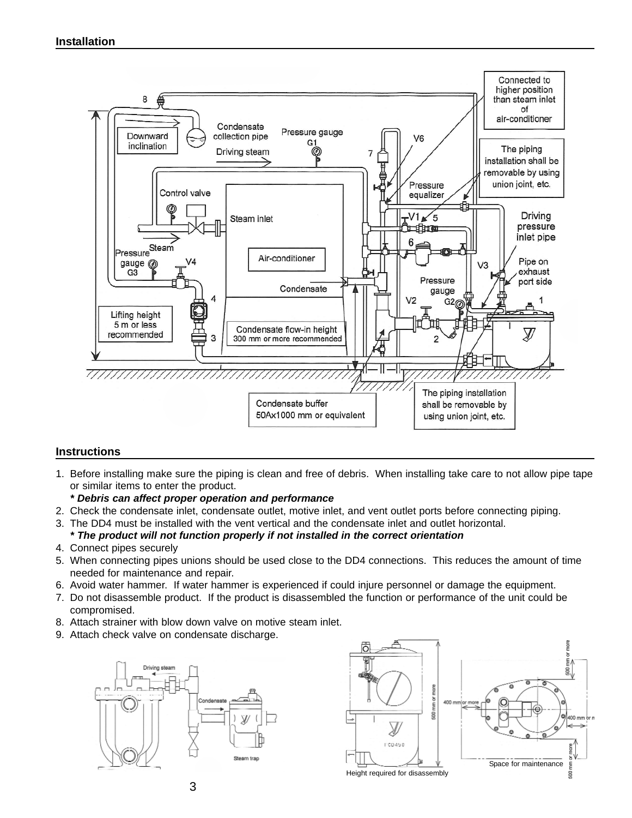

### **Instructions**

- 1. Before installing make sure the piping is clean and free of debris. When installing take care to not allow pipe tape or similar items to enter the product.
	- *\* Debris can affect proper operation and performance*
- 2. Check the condensate inlet, condensate outlet, motive inlet, and vent outlet ports before connecting piping.
- 3. The DD4 must be installed with the vent vertical and the condensate inlet and outlet horizontal. *\* The product will not function properly if not installed in the correct orientation*
- 4. Connect pipes securely
- 5. When connecting pipes unions should be used close to the DD4 connections. This reduces the amount of time needed for maintenance and repair.
- 6. Avoid water hammer. If water hammer is experienced if could injure personnel or damage the equipment.
- 7. Do not disassemble product. If the product is disassembled the function or performance of the unit could be compromised.
- 8. Attach strainer with blow down valve on motive steam inlet.
- 9. Attach check valve on condensate discharge.



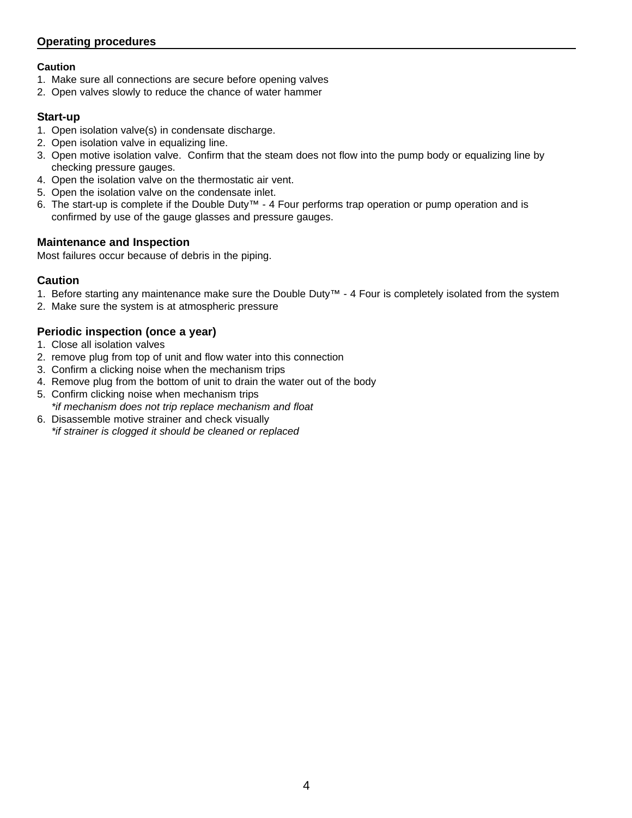# **Operating procedures**

### **Caution**

- 1. Make sure all connections are secure before opening valves
- 2. Open valves slowly to reduce the chance of water hammer

# **Start-up**

- 1. Open isolation valve(s) in condensate discharge.
- 2. Open isolation valve in equalizing line.
- 3. Open motive isolation valve. Confirm that the steam does not flow into the pump body or equalizing line by checking pressure gauges.
- 4. Open the isolation valve on the thermostatic air vent.
- 5. Open the isolation valve on the condensate inlet.
- 6. The start-up is complete if the Double Duty™ 4 Four performs trap operation or pump operation and is confirmed by use of the gauge glasses and pressure gauges.

# **Maintenance and Inspection**

Most failures occur because of debris in the piping.

# **Caution**

- 1. Before starting any maintenance make sure the Double Duty™ 4 Four is completely isolated from the system
- 2. Make sure the system is at atmospheric pressure

# **Periodic inspection (once a year)**

- 1. Close all isolation valves
- 2. remove plug from top of unit and flow water into this connection
- 3. Confirm a clicking noise when the mechanism trips
- 4. Remove plug from the bottom of unit to drain the water out of the body
- 5. Confirm clicking noise when mechanism trips *\*if mechanism does not trip replace mechanism and float*
- 6. Disassemble motive strainer and check visually *\*if strainer is clogged it should be cleaned or replaced*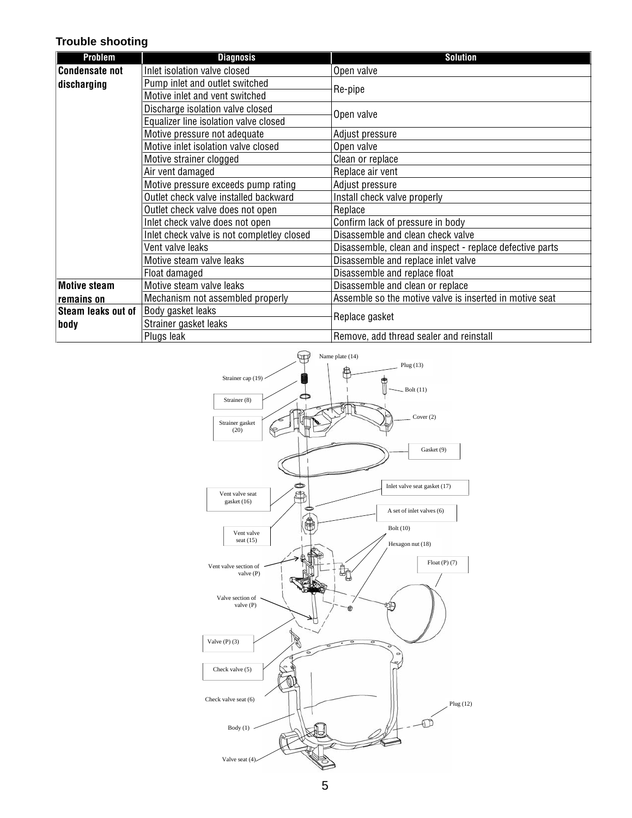## **Trouble shooting**

| Problem                           | <b>Diagnosis</b>                           | <b>Solution</b>                                          |  |
|-----------------------------------|--------------------------------------------|----------------------------------------------------------|--|
| <b>Condensate not</b>             | Inlet isolation valve closed               | Open valve                                               |  |
| discharging                       | Pump inlet and outlet switched             |                                                          |  |
|                                   | Motive inlet and vent switched             | Re-pipe                                                  |  |
|                                   | Discharge isolation valve closed           | Open valve                                               |  |
|                                   | Equalizer line isolation valve closed      |                                                          |  |
|                                   | Motive pressure not adequate               | Adjust pressure                                          |  |
|                                   | Motive inlet isolation valve closed        | Open valve                                               |  |
|                                   | Motive strainer clogged                    | Clean or replace                                         |  |
|                                   | Air vent damaged                           | Replace air vent                                         |  |
|                                   | Motive pressure exceeds pump rating        | Adjust pressure                                          |  |
|                                   | Outlet check valve installed backward      | Install check valve properly                             |  |
|                                   | Outlet check valve does not open           | Replace                                                  |  |
|                                   | Inlet check valve does not open            | Confirm lack of pressure in body                         |  |
|                                   | Inlet check valve is not completley closed | Disassemble and clean check valve                        |  |
|                                   | Vent valve leaks                           | Disassemble, clean and inspect - replace defective parts |  |
|                                   | Motive steam valve leaks                   | Disassemble and replace inlet valve                      |  |
|                                   | Float damaged                              | Disassemble and replace float                            |  |
| <b>Motive steam</b><br>remains on | Motive steam valve leaks                   | Disassemble and clean or replace                         |  |
|                                   | Mechanism not assembled properly           | Assemble so the motive valve is inserted in motive seat  |  |
| Steam leaks out of<br>body        | Body gasket leaks                          | Replace gasket                                           |  |
|                                   | Strainer gasket leaks                      |                                                          |  |
|                                   | Plugs leak                                 | Remove, add thread sealer and reinstall                  |  |

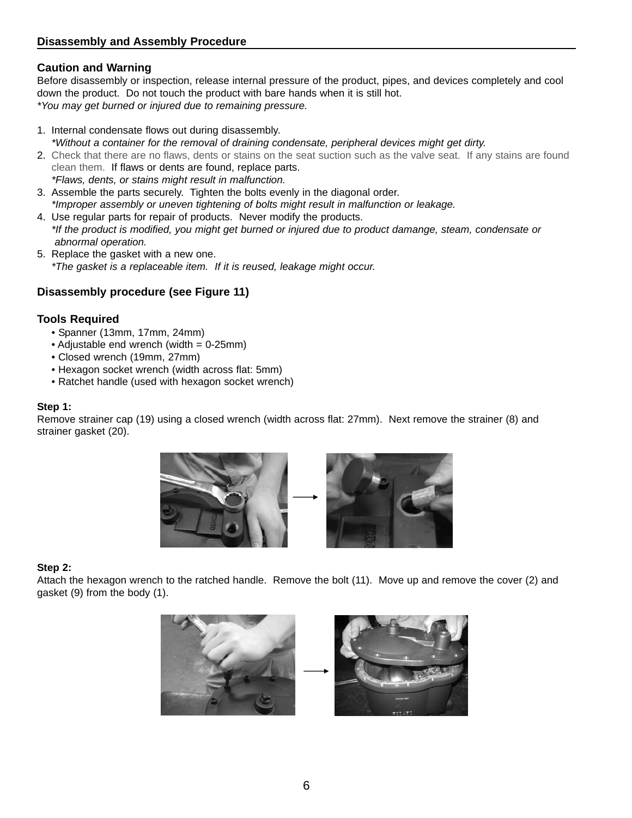# **Caution and Warning**

Before disassembly or inspection, release internal pressure of the product, pipes, and devices completely and cool down the product. Do not touch the product with bare hands when it is still hot. *\*You may get burned or injured due to remaining pressure.*

- 1. Internal condensate flows out during disassembly. *\*Without a container for the removal of draining condensate, peripheral devices might get dirty.*
- 2. Check that there are no flaws, dents or stains on the seat suction such as the valve seat. If any stains are found clean them. If flaws or dents are found, replace parts. *\*Flaws, dents, or stains might result in malfunction.*
- 3. Assemble the parts securely. Tighten the bolts evenly in the diagonal order. *\*Improper assembly or uneven tightening of bolts might result in malfunction or leakage.*
- 4. Use regular parts for repair of products. Never modify the products. *\*If the product is modified, you might get burned or injured due to product damange, steam, condensate or abnormal operation.*
- 5. Replace the gasket with a new one. *\*The gasket is a replaceable item. If it is reused, leakage might occur.*

# **Disassembly procedure (see Figure 11)**

# **Tools Required**

- Spanner (13mm, 17mm, 24mm)
- Adjustable end wrench (width = 0-25mm)
- Closed wrench (19mm, 27mm)
- Hexagon socket wrench (width across flat: 5mm)
- Ratchet handle (used with hexagon socket wrench)

### **Step 1:**

Remove strainer cap (19) using a closed wrench (width across flat: 27mm). Next remove the strainer (8) and strainer gasket (20).



### **Step 2:**

Attach the hexagon wrench to the ratched handle. Remove the bolt (11). Move up and remove the cover (2) and gasket (9) from the body (1).

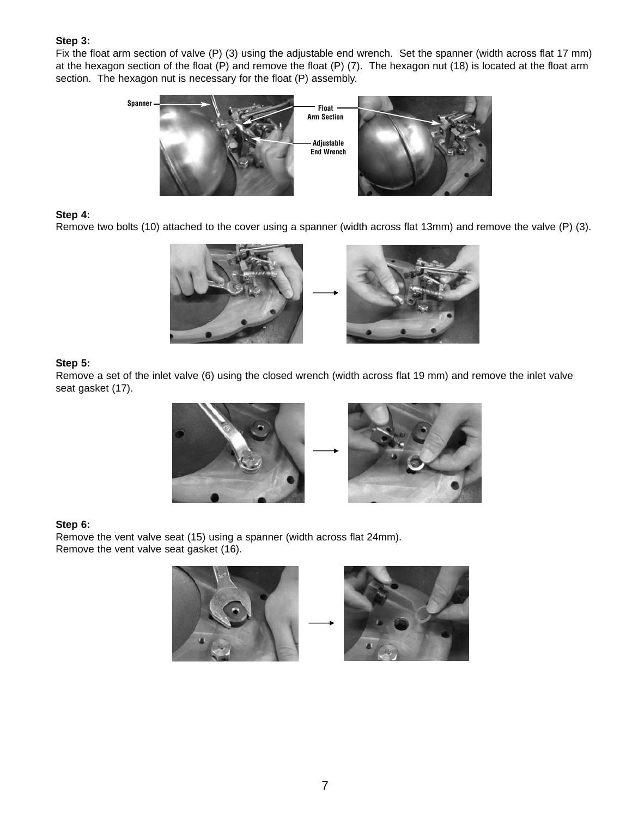### **Step 3:**

Fix the float arm section of valve (P) (3) using the adjustable end wrench. Set the spanner (width across flat 17 mm) at the hexagon section of the float (P) and remove the float (P) (7). The hexagon nut (18) is located at the float arm section. The hexagon nut is necessary for the float (P) assembly.



### **Step 4:**

Remove two bolts (10) attached to the cover using a spanner (width across flat 13mm) and remove the valve (P) (3).



### **Step 5:**

Remove a set of the inlet valve (6) using the closed wrench (width across flat 19 mm) and remove the inlet valve seat gasket (17).





#### **Step 6:**

Remove the vent valve seat (15) using a spanner (width across flat 24mm). Remove the vent valve seat gasket (16).



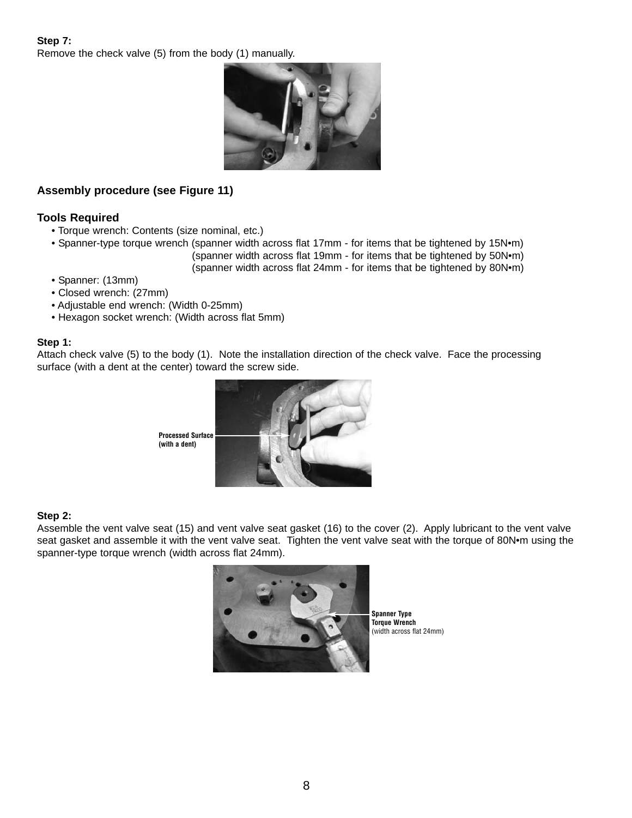### **Step 7:** Remove the check valve (5) from the body (1) manually.



# **Assembly procedure (see Figure 11)**

# **Tools Required**

- Torque wrench: Contents (size nominal, etc.)
- Spanner-type torque wrench (spanner width across flat 17mm for items that be tightened by 15N•m) (spanner width across flat 19mm - for items that be tightened by 50N•m) (spanner width across flat 24mm - for items that be tightened by 80N•m)
- Spanner: (13mm)
- Closed wrench: (27mm)
- Adjustable end wrench: (Width 0-25mm)
- Hexagon socket wrench: (Width across flat 5mm)

### **Step 1:**

Attach check valve (5) to the body (1). Note the installation direction of the check valve. Face the processing surface (with a dent at the center) toward the screw side.



### **Step 2:**

Assemble the vent valve seat (15) and vent valve seat gasket (16) to the cover (2). Apply lubricant to the vent valve seat gasket and assemble it with the vent valve seat. Tighten the vent valve seat with the torque of 80N•m using the spanner-type torque wrench (width across flat 24mm).



**Spanner Type Torque Wrench** (width across flat 24mm)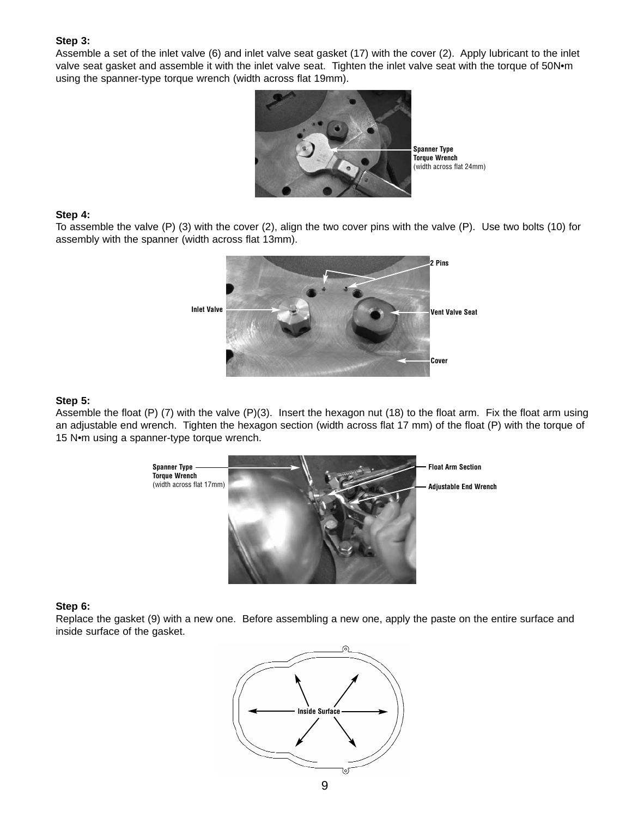#### **Step 3:**

Assemble a set of the inlet valve (6) and inlet valve seat gasket (17) with the cover (2). Apply lubricant to the inlet valve seat gasket and assemble it with the inlet valve seat. Tighten the inlet valve seat with the torque of 50N•m using the spanner-type torque wrench (width across flat 19mm).



#### **Step 4:**

To assemble the valve (P) (3) with the cover (2), align the two cover pins with the valve (P). Use two bolts (10) for assembly with the spanner (width across flat 13mm).



### **Step 5:**

Assemble the float (P) (7) with the valve (P)(3). Insert the hexagon nut (18) to the float arm. Fix the float arm using an adjustable end wrench. Tighten the hexagon section (width across flat 17 mm) of the float (P) with the torque of 15 N•m using a spanner-type torque wrench.



#### **Step 6:**

Replace the gasket (9) with a new one. Before assembling a new one, apply the paste on the entire surface and inside surface of the gasket.

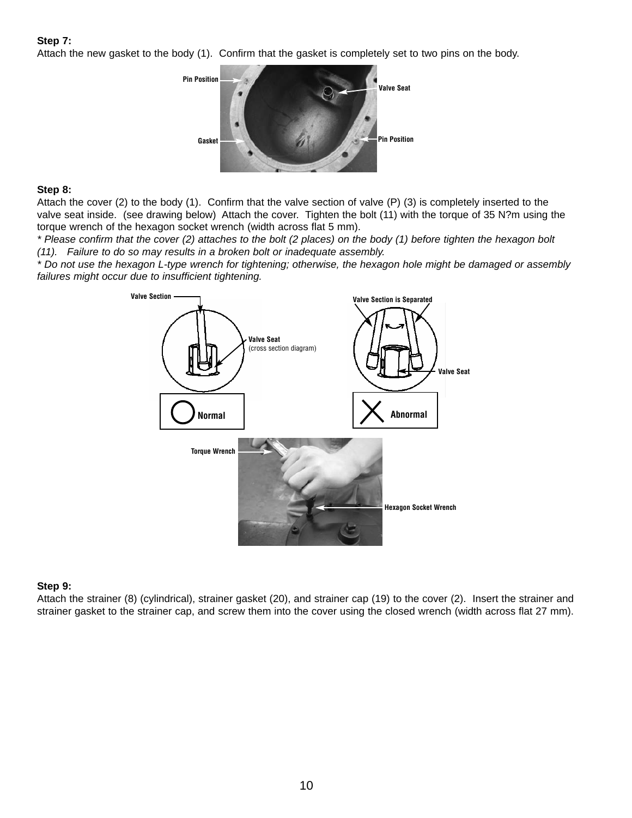### **Step 7:**

Attach the new gasket to the body (1). Confirm that the gasket is completely set to two pins on the body.



### **Step 8:**

Attach the cover (2) to the body (1). Confirm that the valve section of valve (P) (3) is completely inserted to the valve seat inside. (see drawing below) Attach the cover. Tighten the bolt (11) with the torque of 35 N?m using the torque wrench of the hexagon socket wrench (width across flat 5 mm).

*\* Please confirm that the cover (2) attaches to the bolt (2 places) on the body (1) before tighten the hexagon bolt (11). Failure to do so may results in a broken bolt or inadequate assembly.*

*\* Do not use the hexagon L-type wrench for tightening; otherwise, the hexagon hole might be damaged or assembly failures might occur due to insufficient tightening.*



### **Step 9:**

Attach the strainer (8) (cylindrical), strainer gasket (20), and strainer cap (19) to the cover (2). Insert the strainer and strainer gasket to the strainer cap, and screw them into the cover using the closed wrench (width across flat 27 mm).